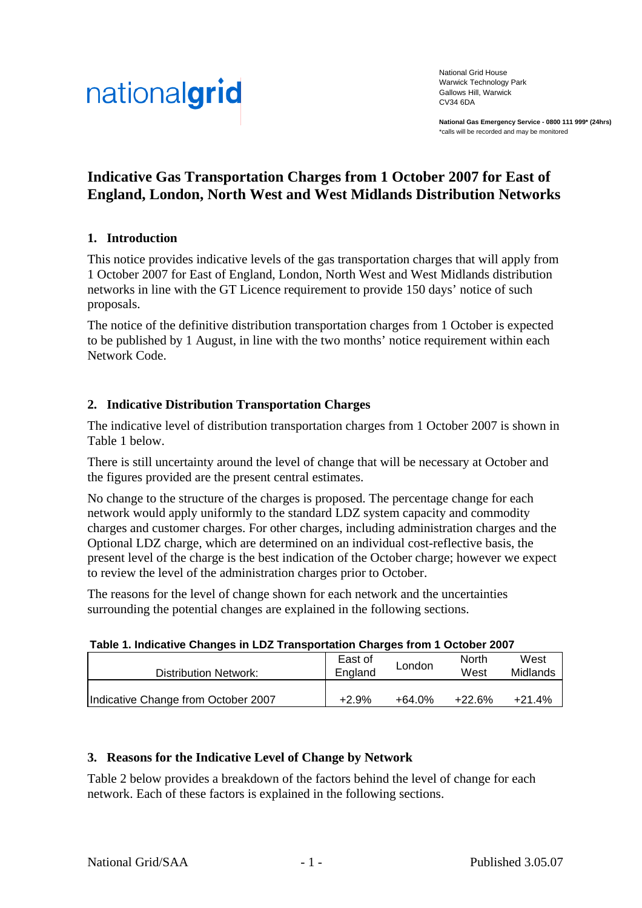

National Grid House Warwick Technology Park Gallows Hill, Warwick CV34 6DA

**National Gas Emergency Service - 0800 111 999\* (24hrs)** \*calls will be recorded and may be monitored

# **Indicative Gas Transportation Charges from 1 October 2007 for East of England, London, North West and West Midlands Distribution Networks**

### **1. Introduction**

This notice provides indicative levels of the gas transportation charges that will apply from 1 October 2007 for East of England, London, North West and West Midlands distribution networks in line with the GT Licence requirement to provide 150 days' notice of such proposals.

The notice of the definitive distribution transportation charges from 1 October is expected to be published by 1 August, in line with the two months' notice requirement within each Network Code.

#### **2. Indicative Distribution Transportation Charges**

The indicative level of distribution transportation charges from 1 October 2007 is shown in Table 1 below.

There is still uncertainty around the level of change that will be necessary at October and the figures provided are the present central estimates.

No change to the structure of the charges is proposed. The percentage change for each network would apply uniformly to the standard LDZ system capacity and commodity charges and customer charges. For other charges, including administration charges and the Optional LDZ charge, which are determined on an individual cost-reflective basis, the present level of the charge is the best indication of the October charge; however we expect to review the level of the administration charges prior to October.

The reasons for the level of change shown for each network and the uncertainties surrounding the potential changes are explained in the following sections.

|  |  |  | Table 1. Indicative Changes in LDZ Transportation Charges from 1 October 2007 |
|--|--|--|-------------------------------------------------------------------------------|
|  |  |  |                                                                               |

| Distribution Network:               | East of<br>England | London | <b>North</b><br>West | West<br>Midlands |
|-------------------------------------|--------------------|--------|----------------------|------------------|
| Indicative Change from October 2007 | +2.9%              | +64.0% | $+22.6%$             | $+21.4%$         |

#### **3. Reasons for the Indicative Level of Change by Network**

Table 2 below provides a breakdown of the factors behind the level of change for each network. Each of these factors is explained in the following sections.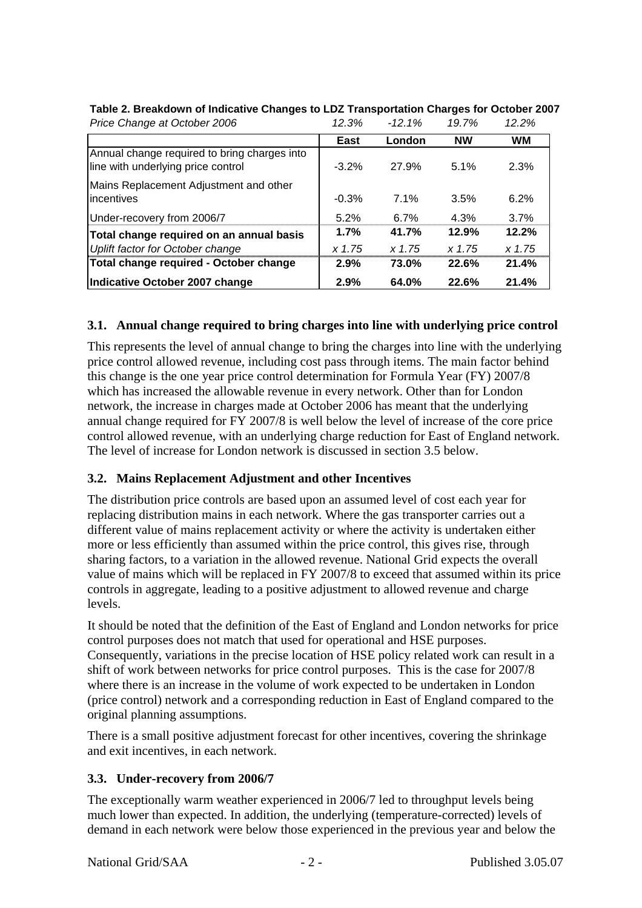| Price Change at October 2006                                                       | 12.3%    | $-12.1%$ | 19.7%     | 12.2%     |
|------------------------------------------------------------------------------------|----------|----------|-----------|-----------|
|                                                                                    | East     | London   | <b>NW</b> | <b>WM</b> |
| Annual change required to bring charges into<br>line with underlying price control | $-3.2\%$ | 27.9%    | 5.1%      | 2.3%      |
| Mains Replacement Adjustment and other<br>incentives                               | $-0.3%$  | 7.1%     | 3.5%      | 6.2%      |
| Under-recovery from 2006/7                                                         | 5.2%     | 6.7%     | 4.3%      | 3.7%      |
| Total change required on an annual basis                                           | 1.7%     | 41.7%    | 12.9%     | 12.2%     |
| Uplift factor for October change                                                   | x 1.75   | x 1.75   | x 1.75    | $x\,1.75$ |
| Total change required - October change                                             | 2.9%     | 73.0%    | 22.6%     | 21.4%     |
| Indicative October 2007 change                                                     | 2.9%     | 64.0%    | 22.6%     | 21.4%     |

### **Table 2. Breakdown of Indicative Changes to LDZ Transportation Charges for October 2007**

### **3.1. Annual change required to bring charges into line with underlying price control**

This represents the level of annual change to bring the charges into line with the underlying price control allowed revenue, including cost pass through items. The main factor behind this change is the one year price control determination for Formula Year (FY) 2007/8 which has increased the allowable revenue in every network. Other than for London network, the increase in charges made at October 2006 has meant that the underlying annual change required for FY 2007/8 is well below the level of increase of the core price control allowed revenue, with an underlying charge reduction for East of England network. The level of increase for London network is discussed in section 3.5 below.

### **3.2. Mains Replacement Adjustment and other Incentives**

The distribution price controls are based upon an assumed level of cost each year for replacing distribution mains in each network. Where the gas transporter carries out a different value of mains replacement activity or where the activity is undertaken either more or less efficiently than assumed within the price control, this gives rise, through sharing factors, to a variation in the allowed revenue. National Grid expects the overall value of mains which will be replaced in FY 2007/8 to exceed that assumed within its price controls in aggregate, leading to a positive adjustment to allowed revenue and charge levels.

It should be noted that the definition of the East of England and London networks for price control purposes does not match that used for operational and HSE purposes. Consequently, variations in the precise location of HSE policy related work can result in a shift of work between networks for price control purposes. This is the case for 2007/8 where there is an increase in the volume of work expected to be undertaken in London (price control) network and a corresponding reduction in East of England compared to the original planning assumptions.

There is a small positive adjustment forecast for other incentives, covering the shrinkage and exit incentives, in each network.

## **3.3. Under-recovery from 2006/7**

The exceptionally warm weather experienced in 2006/7 led to throughput levels being much lower than expected. In addition, the underlying (temperature-corrected) levels of demand in each network were below those experienced in the previous year and below the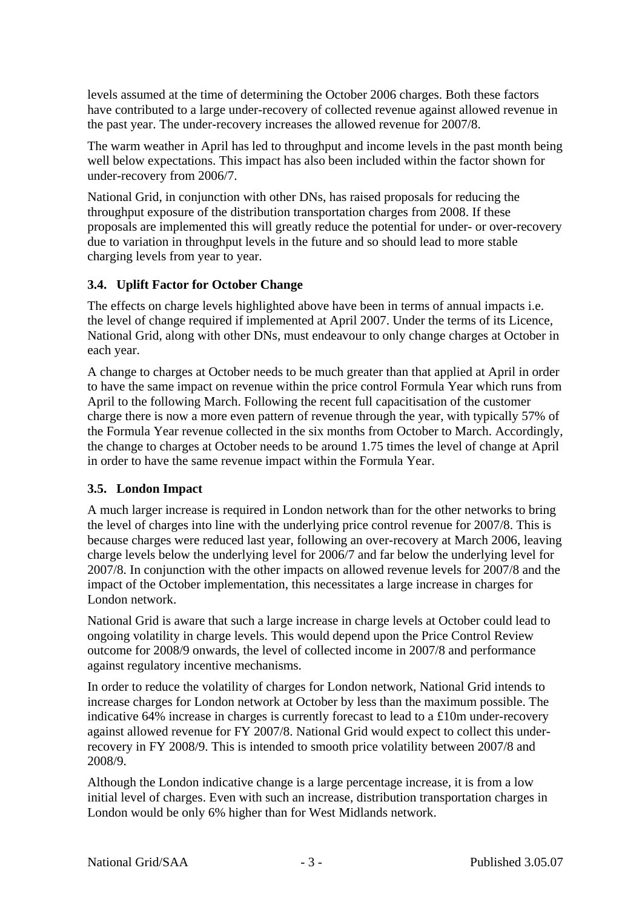levels assumed at the time of determining the October 2006 charges. Both these factors have contributed to a large under-recovery of collected revenue against allowed revenue in the past year. The under-recovery increases the allowed revenue for 2007/8.

The warm weather in April has led to throughput and income levels in the past month being well below expectations. This impact has also been included within the factor shown for under-recovery from 2006/7.

National Grid, in conjunction with other DNs, has raised proposals for reducing the throughput exposure of the distribution transportation charges from 2008. If these proposals are implemented this will greatly reduce the potential for under- or over-recovery due to variation in throughput levels in the future and so should lead to more stable charging levels from year to year.

## **3.4. Uplift Factor for October Change**

The effects on charge levels highlighted above have been in terms of annual impacts i.e. the level of change required if implemented at April 2007. Under the terms of its Licence, National Grid, along with other DNs, must endeavour to only change charges at October in each year.

A change to charges at October needs to be much greater than that applied at April in order to have the same impact on revenue within the price control Formula Year which runs from April to the following March. Following the recent full capacitisation of the customer charge there is now a more even pattern of revenue through the year, with typically 57% of the Formula Year revenue collected in the six months from October to March. Accordingly, the change to charges at October needs to be around 1.75 times the level of change at April in order to have the same revenue impact within the Formula Year.

### **3.5. London Impact**

A much larger increase is required in London network than for the other networks to bring the level of charges into line with the underlying price control revenue for 2007/8. This is because charges were reduced last year, following an over-recovery at March 2006, leaving charge levels below the underlying level for 2006/7 and far below the underlying level for 2007/8. In conjunction with the other impacts on allowed revenue levels for 2007/8 and the impact of the October implementation, this necessitates a large increase in charges for London network.

National Grid is aware that such a large increase in charge levels at October could lead to ongoing volatility in charge levels. This would depend upon the Price Control Review outcome for 2008/9 onwards, the level of collected income in 2007/8 and performance against regulatory incentive mechanisms.

In order to reduce the volatility of charges for London network, National Grid intends to increase charges for London network at October by less than the maximum possible. The indicative 64% increase in charges is currently forecast to lead to a £10m under-recovery against allowed revenue for FY 2007/8. National Grid would expect to collect this underrecovery in FY 2008/9. This is intended to smooth price volatility between 2007/8 and 2008/9.

Although the London indicative change is a large percentage increase, it is from a low initial level of charges. Even with such an increase, distribution transportation charges in London would be only 6% higher than for West Midlands network.